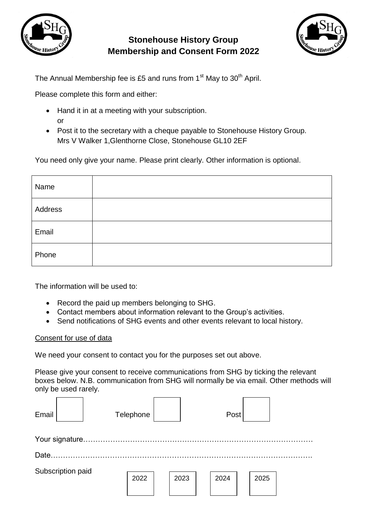

## **Stonehouse History Group Membership and Consent Form 2022**



The Annual Membership fee is £5 and runs from 1<sup>st</sup> May to 30<sup>th</sup> April.

Please complete this form and either:

- Hand it in at a meeting with your subscription. or
- Post it to the secretary with a cheque payable to Stonehouse History Group. Mrs V Walker 1,Glenthorne Close, Stonehouse GL10 2EF

You need only give your name. Please print clearly. Other information is optional.

| Name    |  |
|---------|--|
| Address |  |
| Email   |  |
| Phone   |  |

The information will be used to:

- Record the paid up members belonging to SHG.
- Contact members about information relevant to the Group's activities.
- Send notifications of SHG events and other events relevant to local history.

## Consent for use of data

We need your consent to contact you for the purposes set out above.

Please give your consent to receive communications from SHG by ticking the relevant boxes below. N.B. communication from SHG will normally be via email. Other methods will only be used rarely.

| Email             |  |  | Telephone |  |      |  | Post |  |      |  |  |  |
|-------------------|--|--|-----------|--|------|--|------|--|------|--|--|--|
|                   |  |  |           |  |      |  |      |  |      |  |  |  |
| Date.             |  |  |           |  |      |  |      |  |      |  |  |  |
| Subscription paid |  |  | 2022      |  | 2023 |  | 2024 |  | 2025 |  |  |  |